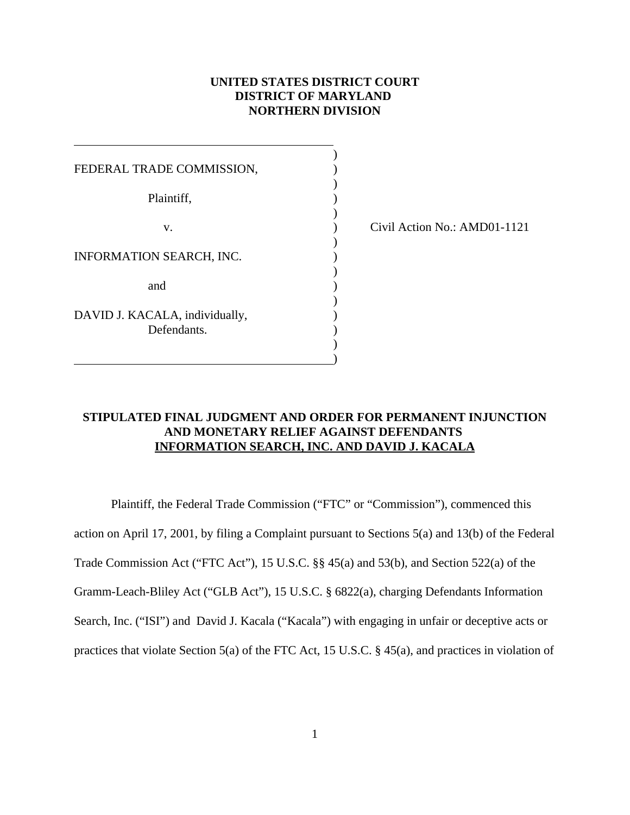## **UNITED STATES DISTRICT COURT DISTRICT OF MARYLAND NORTHERN DIVISION**

)

| FEDERAL TRADE COMMISSION,      |  |  |
|--------------------------------|--|--|
| Plaintiff,                     |  |  |
| v.                             |  |  |
| INFORMATION SEARCH, INC.       |  |  |
| and                            |  |  |
| DAVID J. KACALA, individually, |  |  |
| Defendants.                    |  |  |

 $\hspace{1.5cm}$  ) and the contract of the contract of the contract of the contract of the contract of the contract of the contract of the contract of the contract of the contract of the contract of the contract of the contrac

 $\overline{a}$ 

) Civil Action No.: AMD01-1121

## **STIPULATED FINAL JUDGMENT AND ORDER FOR PERMANENT INJUNCTION AND MONETARY RELIEF AGAINST DEFENDANTS INFORMATION SEARCH, INC. AND DAVID J. KACALA**

Plaintiff, the Federal Trade Commission ("FTC" or "Commission"), commenced this action on April 17, 2001, by filing a Complaint pursuant to Sections 5(a) and 13(b) of the Federal Trade Commission Act ("FTC Act"), 15 U.S.C. §§ 45(a) and 53(b), and Section 522(a) of the Gramm-Leach-Bliley Act ("GLB Act"), 15 U.S.C. § 6822(a), charging Defendants Information Search, Inc. ("ISI") and David J. Kacala ("Kacala") with engaging in unfair or deceptive acts or practices that violate Section 5(a) of the FTC Act, 15 U.S.C. § 45(a), and practices in violation of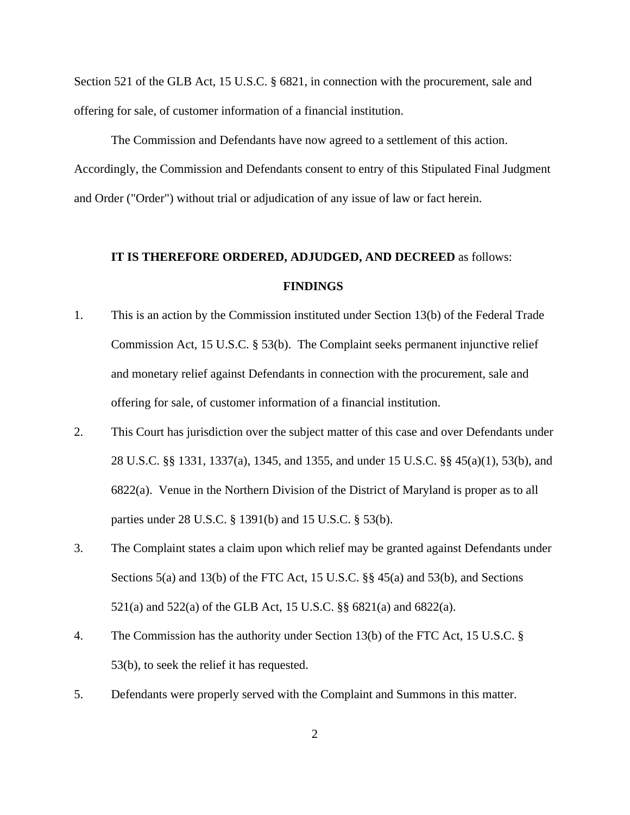Section 521 of the GLB Act, 15 U.S.C. § 6821, in connection with the procurement, sale and offering for sale, of customer information of a financial institution.

The Commission and Defendants have now agreed to a settlement of this action. Accordingly, the Commission and Defendants consent to entry of this Stipulated Final Judgment and Order ("Order") without trial or adjudication of any issue of law or fact herein.

# **IT IS THEREFORE ORDERED, ADJUDGED, AND DECREED** as follows: **FINDINGS**

- 1. This is an action by the Commission instituted under Section 13(b) of the Federal Trade Commission Act, 15 U.S.C. § 53(b). The Complaint seeks permanent injunctive relief and monetary relief against Defendants in connection with the procurement, sale and offering for sale, of customer information of a financial institution.
- 2. This Court has jurisdiction over the subject matter of this case and over Defendants under 28 U.S.C. §§ 1331, 1337(a), 1345, and 1355, and under 15 U.S.C. §§ 45(a)(1), 53(b), and 6822(a). Venue in the Northern Division of the District of Maryland is proper as to all parties under 28 U.S.C. § 1391(b) and 15 U.S.C. § 53(b).
- 3. The Complaint states a claim upon which relief may be granted against Defendants under Sections 5(a) and 13(b) of the FTC Act, 15 U.S.C. §§ 45(a) and 53(b), and Sections 521(a) and 522(a) of the GLB Act, 15 U.S.C. §§ 6821(a) and 6822(a).
- 4. The Commission has the authority under Section 13(b) of the FTC Act, 15 U.S.C. § 53(b), to seek the relief it has requested.
- 5. Defendants were properly served with the Complaint and Summons in this matter.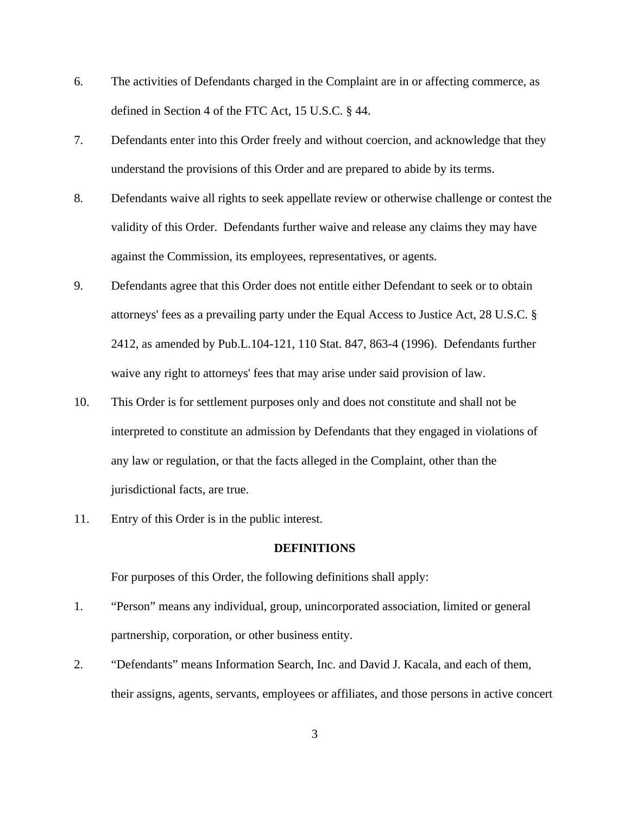- 6. The activities of Defendants charged in the Complaint are in or affecting commerce, as defined in Section 4 of the FTC Act, 15 U.S.C. § 44.
- 7. Defendants enter into this Order freely and without coercion, and acknowledge that they understand the provisions of this Order and are prepared to abide by its terms.
- 8. Defendants waive all rights to seek appellate review or otherwise challenge or contest the validity of this Order. Defendants further waive and release any claims they may have against the Commission, its employees, representatives, or agents.
- 9. Defendants agree that this Order does not entitle either Defendant to seek or to obtain attorneys' fees as a prevailing party under the Equal Access to Justice Act, 28 U.S.C. § 2412, as amended by Pub.L.104-121, 110 Stat. 847, 863-4 (1996). Defendants further waive any right to attorneys' fees that may arise under said provision of law.
- 10. This Order is for settlement purposes only and does not constitute and shall not be interpreted to constitute an admission by Defendants that they engaged in violations of any law or regulation, or that the facts alleged in the Complaint, other than the jurisdictional facts, are true.
- 11. Entry of this Order is in the public interest.

#### **DEFINITIONS**

For purposes of this Order, the following definitions shall apply:

- 1. "Person" means any individual, group, unincorporated association, limited or general partnership, corporation, or other business entity.
- 2. "Defendants" means Information Search, Inc. and David J. Kacala, and each of them, their assigns, agents, servants, employees or affiliates, and those persons in active concert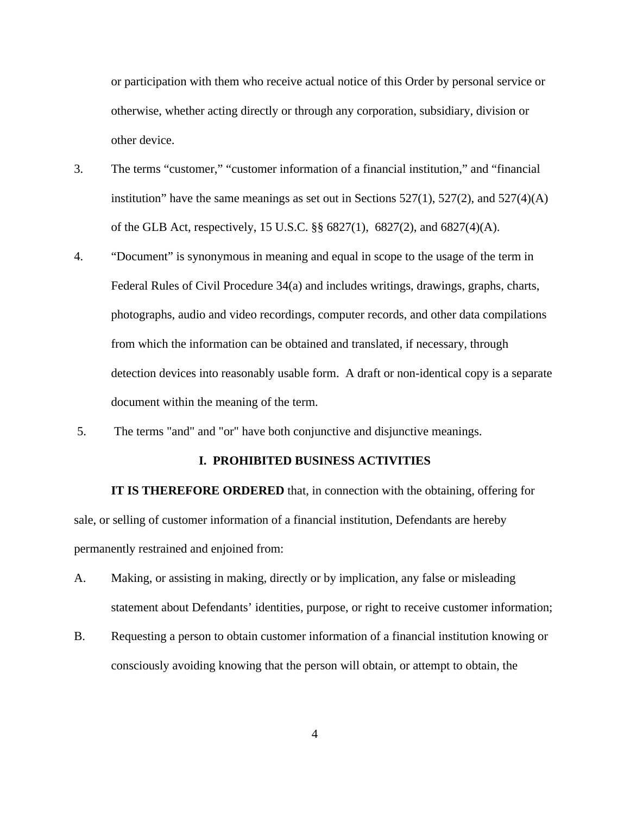or participation with them who receive actual notice of this Order by personal service or otherwise, whether acting directly or through any corporation, subsidiary, division or other device.

- 3. The terms "customer," "customer information of a financial institution," and "financial institution" have the same meanings as set out in Sections  $527(1)$ ,  $527(2)$ , and  $527(4)(A)$ of the GLB Act, respectively, 15 U.S.C. §§ 6827(1), 6827(2), and 6827(4)(A).
- 4. "Document" is synonymous in meaning and equal in scope to the usage of the term in Federal Rules of Civil Procedure 34(a) and includes writings, drawings, graphs, charts, photographs, audio and video recordings, computer records, and other data compilations from which the information can be obtained and translated, if necessary, through detection devices into reasonably usable form. A draft or non-identical copy is a separate document within the meaning of the term.
- 5. The terms "and" and "or" have both conjunctive and disjunctive meanings.

## **I. PROHIBITED BUSINESS ACTIVITIES**

**IT IS THEREFORE ORDERED** that, in connection with the obtaining, offering for sale, or selling of customer information of a financial institution, Defendants are hereby permanently restrained and enjoined from:

- A. Making, or assisting in making, directly or by implication, any false or misleading statement about Defendants' identities, purpose, or right to receive customer information;
- B. Requesting a person to obtain customer information of a financial institution knowing or consciously avoiding knowing that the person will obtain, or attempt to obtain, the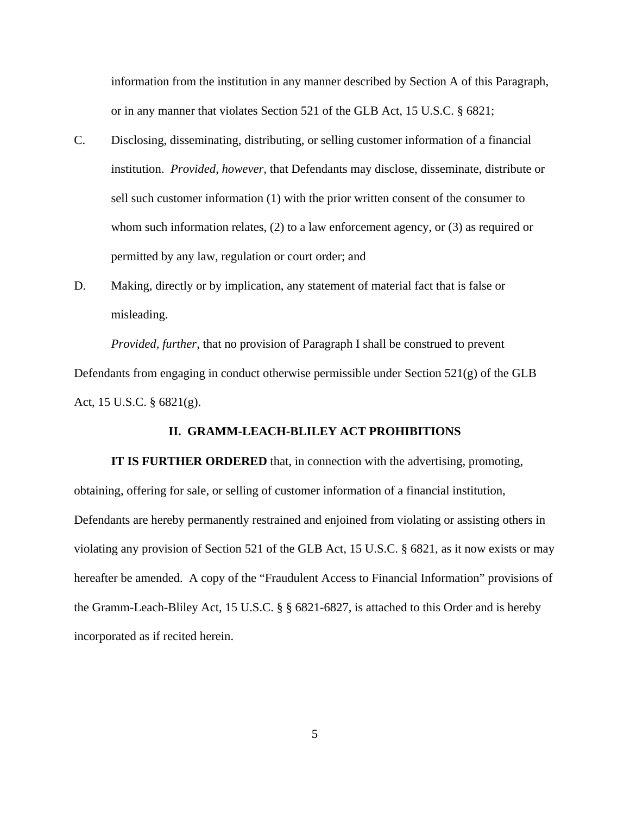information from the institution in any manner described by Section A of this Paragraph, or in any manner that violates Section 521 of the GLB Act, 15 U.S.C. § 6821;

- C. Disclosing, disseminating, distributing, or selling customer information of a financial institution. *Provided, however,* that Defendants may disclose, disseminate, distribute or sell such customer information (1) with the prior written consent of the consumer to whom such information relates, (2) to a law enforcement agency, or (3) as required or permitted by any law, regulation or court order; and
- D. Making, directly or by implication, any statement of material fact that is false or misleading.

*Provided, further*, that no provision of Paragraph I shall be construed to prevent Defendants from engaging in conduct otherwise permissible under Section 521(g) of the GLB Act, 15 U.S.C. § 6821(g).

## **II. GRAMM-LEACH-BLILEY ACT PROHIBITIONS**

**IT IS FURTHER ORDERED** that, in connection with the advertising, promoting, obtaining, offering for sale, or selling of customer information of a financial institution, Defendants are hereby permanently restrained and enjoined from violating or assisting others in violating any provision of Section 521 of the GLB Act, 15 U.S.C. § 6821, as it now exists or may hereafter be amended. A copy of the "Fraudulent Access to Financial Information" provisions of the Gramm-Leach-Bliley Act, 15 U.S.C. § § 6821-6827, is attached to this Order and is hereby incorporated as if recited herein.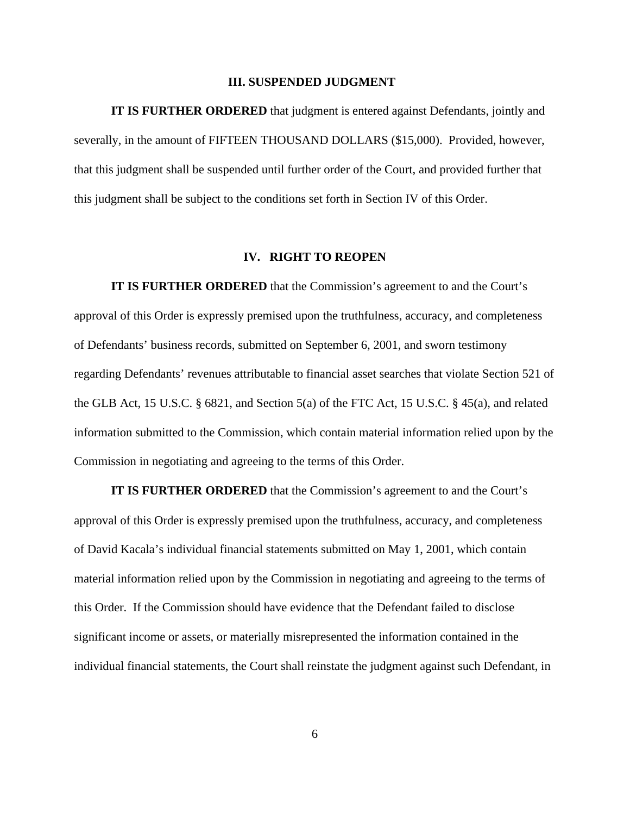#### **III. SUSPENDED JUDGMENT**

**IT IS FURTHER ORDERED** that judgment is entered against Defendants, jointly and severally, in the amount of FIFTEEN THOUSAND DOLLARS (\$15,000). Provided, however, that this judgment shall be suspended until further order of the Court, and provided further that this judgment shall be subject to the conditions set forth in Section IV of this Order.

#### **IV. RIGHT TO REOPEN**

**IT IS FURTHER ORDERED** that the Commission's agreement to and the Court's approval of this Order is expressly premised upon the truthfulness, accuracy, and completeness of Defendants' business records, submitted on September 6, 2001, and sworn testimony regarding Defendants' revenues attributable to financial asset searches that violate Section 521 of the GLB Act, 15 U.S.C. § 6821, and Section 5(a) of the FTC Act, 15 U.S.C. § 45(a), and related information submitted to the Commission, which contain material information relied upon by the Commission in negotiating and agreeing to the terms of this Order.

**IT IS FURTHER ORDERED** that the Commission's agreement to and the Court's approval of this Order is expressly premised upon the truthfulness, accuracy, and completeness of David Kacala's individual financial statements submitted on May 1, 2001, which contain material information relied upon by the Commission in negotiating and agreeing to the terms of this Order. If the Commission should have evidence that the Defendant failed to disclose significant income or assets, or materially misrepresented the information contained in the individual financial statements, the Court shall reinstate the judgment against such Defendant, in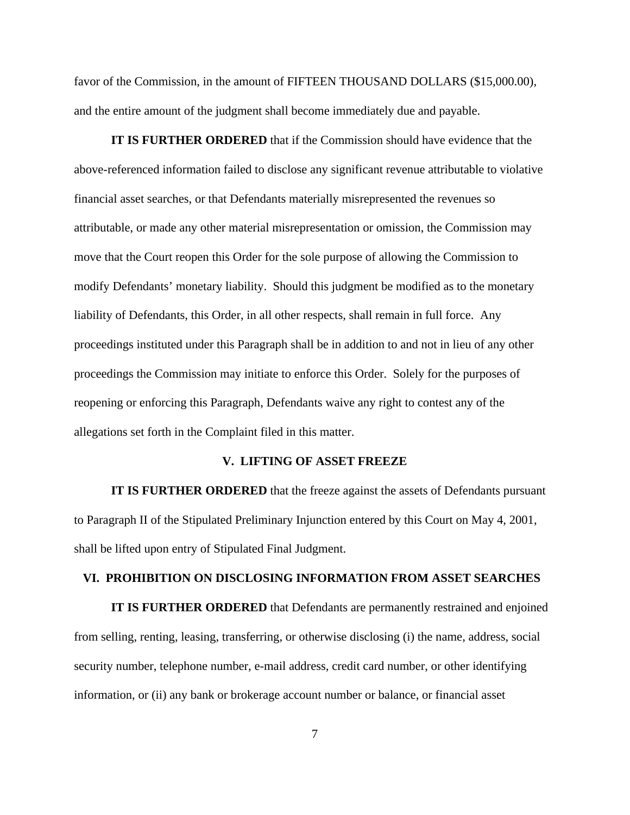favor of the Commission, in the amount of FIFTEEN THOUSAND DOLLARS (\$15,000.00), and the entire amount of the judgment shall become immediately due and payable.

**IT IS FURTHER ORDERED** that if the Commission should have evidence that the above-referenced information failed to disclose any significant revenue attributable to violative financial asset searches, or that Defendants materially misrepresented the revenues so attributable, or made any other material misrepresentation or omission, the Commission may move that the Court reopen this Order for the sole purpose of allowing the Commission to modify Defendants' monetary liability. Should this judgment be modified as to the monetary liability of Defendants, this Order, in all other respects, shall remain in full force. Any proceedings instituted under this Paragraph shall be in addition to and not in lieu of any other proceedings the Commission may initiate to enforce this Order. Solely for the purposes of reopening or enforcing this Paragraph, Defendants waive any right to contest any of the allegations set forth in the Complaint filed in this matter.

## **V. LIFTING OF ASSET FREEZE**

**IT IS FURTHER ORDERED** that the freeze against the assets of Defendants pursuant to Paragraph II of the Stipulated Preliminary Injunction entered by this Court on May 4, 2001, shall be lifted upon entry of Stipulated Final Judgment.

## **VI. PROHIBITION ON DISCLOSING INFORMATION FROM ASSET SEARCHES**

**IT IS FURTHER ORDERED** that Defendants are permanently restrained and enjoined from selling, renting, leasing, transferring, or otherwise disclosing (i) the name, address, social security number, telephone number, e-mail address, credit card number, or other identifying information, or (ii) any bank or brokerage account number or balance, or financial asset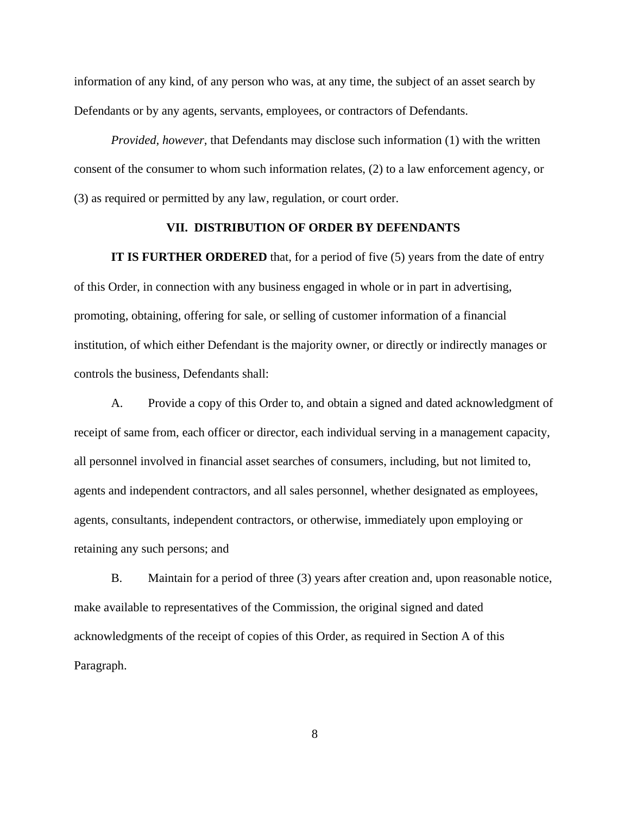information of any kind, of any person who was, at any time, the subject of an asset search by Defendants or by any agents, servants, employees, or contractors of Defendants.

*Provided, however,* that Defendants may disclose such information (1) with the written consent of the consumer to whom such information relates, (2) to a law enforcement agency, or (3) as required or permitted by any law, regulation, or court order.

## **VII. DISTRIBUTION OF ORDER BY DEFENDANTS**

**IT IS FURTHER ORDERED** that, for a period of five (5) years from the date of entry of this Order, in connection with any business engaged in whole or in part in advertising, promoting, obtaining, offering for sale, or selling of customer information of a financial institution, of which either Defendant is the majority owner, or directly or indirectly manages or controls the business, Defendants shall:

A. Provide a copy of this Order to, and obtain a signed and dated acknowledgment of receipt of same from, each officer or director, each individual serving in a management capacity, all personnel involved in financial asset searches of consumers, including, but not limited to, agents and independent contractors, and all sales personnel, whether designated as employees, agents, consultants, independent contractors, or otherwise, immediately upon employing or retaining any such persons; and

B. Maintain for a period of three (3) years after creation and, upon reasonable notice, make available to representatives of the Commission, the original signed and dated acknowledgments of the receipt of copies of this Order, as required in Section A of this Paragraph.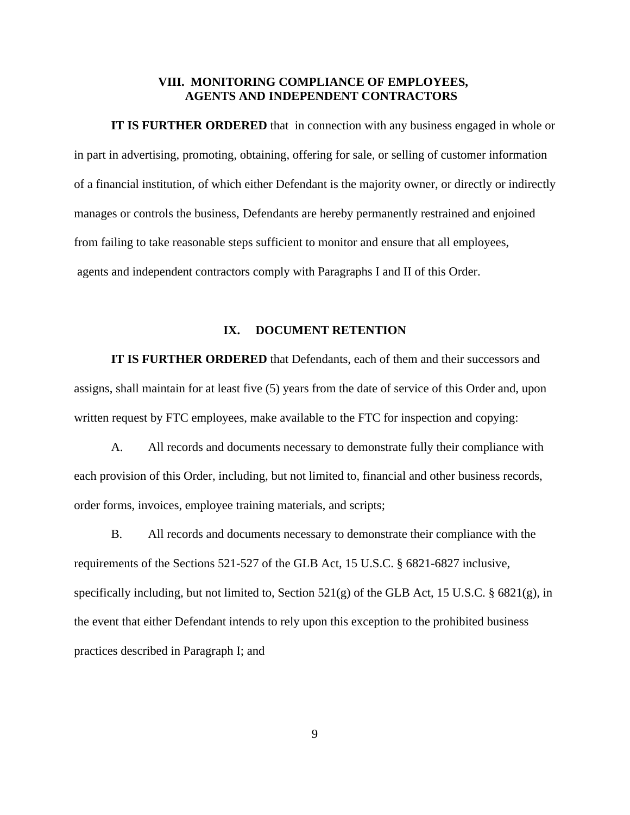## **VIII. MONITORING COMPLIANCE OF EMPLOYEES, AGENTS AND INDEPENDENT CONTRACTORS**

**IT IS FURTHER ORDERED** that in connection with any business engaged in whole or in part in advertising, promoting, obtaining, offering for sale, or selling of customer information of a financial institution, of which either Defendant is the majority owner, or directly or indirectly manages or controls the business, Defendants are hereby permanently restrained and enjoined from failing to take reasonable steps sufficient to monitor and ensure that all employees, agents and independent contractors comply with Paragraphs I and II of this Order.

## **IX. DOCUMENT RETENTION**

**IT IS FURTHER ORDERED** that Defendants, each of them and their successors and assigns, shall maintain for at least five (5) years from the date of service of this Order and, upon written request by FTC employees, make available to the FTC for inspection and copying:

A. All records and documents necessary to demonstrate fully their compliance with each provision of this Order, including, but not limited to, financial and other business records, order forms, invoices, employee training materials, and scripts;

B. All records and documents necessary to demonstrate their compliance with the requirements of the Sections 521-527 of the GLB Act, 15 U.S.C. § 6821-6827 inclusive, specifically including, but not limited to, Section  $521(g)$  of the GLB Act, 15 U.S.C. § 6821(g), in the event that either Defendant intends to rely upon this exception to the prohibited business practices described in Paragraph I; and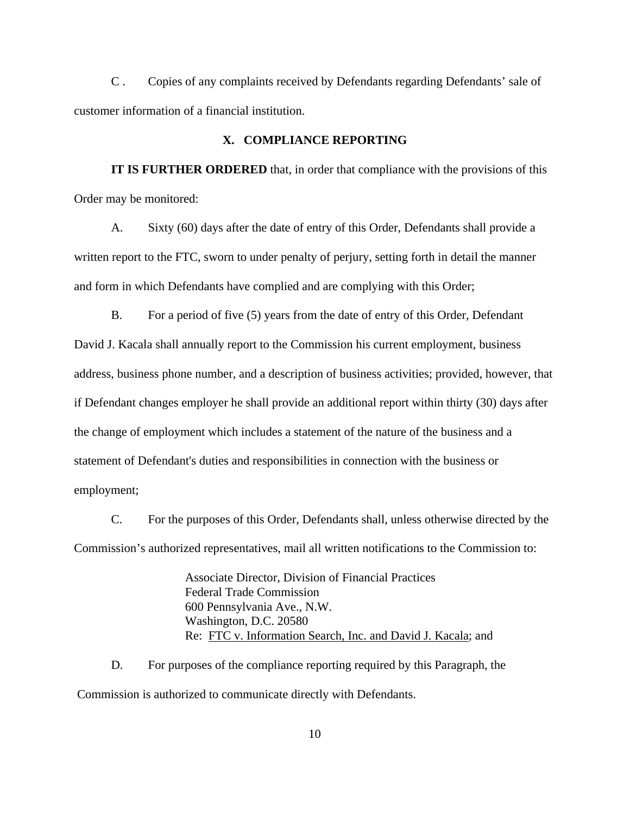C . Copies of any complaints received by Defendants regarding Defendants' sale of customer information of a financial institution.

### **X. COMPLIANCE REPORTING**

**IT IS FURTHER ORDERED** that, in order that compliance with the provisions of this Order may be monitored:

A. Sixty (60) days after the date of entry of this Order, Defendants shall provide a written report to the FTC, sworn to under penalty of perjury, setting forth in detail the manner and form in which Defendants have complied and are complying with this Order;

B. For a period of five (5) years from the date of entry of this Order, Defendant David J. Kacala shall annually report to the Commission his current employment, business address, business phone number, and a description of business activities; provided, however, that if Defendant changes employer he shall provide an additional report within thirty (30) days after the change of employment which includes a statement of the nature of the business and a statement of Defendant's duties and responsibilities in connection with the business or employment;

C. For the purposes of this Order, Defendants shall, unless otherwise directed by the Commission's authorized representatives, mail all written notifications to the Commission to:

> Associate Director, Division of Financial Practices Federal Trade Commission 600 Pennsylvania Ave., N.W. Washington, D.C. 20580 Re: FTC v. Information Search, Inc. and David J. Kacala; and

D. For purposes of the compliance reporting required by this Paragraph, the Commission is authorized to communicate directly with Defendants.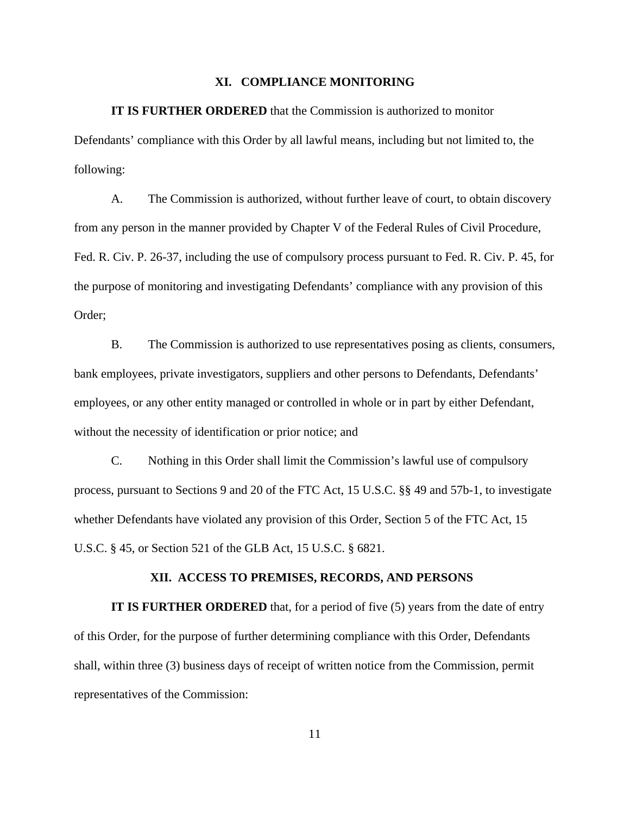#### **XI. COMPLIANCE MONITORING**

#### **IT IS FURTHER ORDERED** that the Commission is authorized to monitor

Defendants' compliance with this Order by all lawful means, including but not limited to, the following:

A. The Commission is authorized, without further leave of court, to obtain discovery from any person in the manner provided by Chapter V of the Federal Rules of Civil Procedure, Fed. R. Civ. P. 26-37, including the use of compulsory process pursuant to Fed. R. Civ. P. 45, for the purpose of monitoring and investigating Defendants' compliance with any provision of this Order;

B. The Commission is authorized to use representatives posing as clients, consumers, bank employees, private investigators, suppliers and other persons to Defendants, Defendants' employees, or any other entity managed or controlled in whole or in part by either Defendant, without the necessity of identification or prior notice; and

C. Nothing in this Order shall limit the Commission's lawful use of compulsory process, pursuant to Sections 9 and 20 of the FTC Act, 15 U.S.C. §§ 49 and 57b-1, to investigate whether Defendants have violated any provision of this Order, Section 5 of the FTC Act, 15 U.S.C. § 45, or Section 521 of the GLB Act, 15 U.S.C. § 6821.

## **XII. ACCESS TO PREMISES, RECORDS, AND PERSONS**

**IT IS FURTHER ORDERED** that, for a period of five (5) years from the date of entry of this Order, for the purpose of further determining compliance with this Order, Defendants shall, within three (3) business days of receipt of written notice from the Commission, permit representatives of the Commission: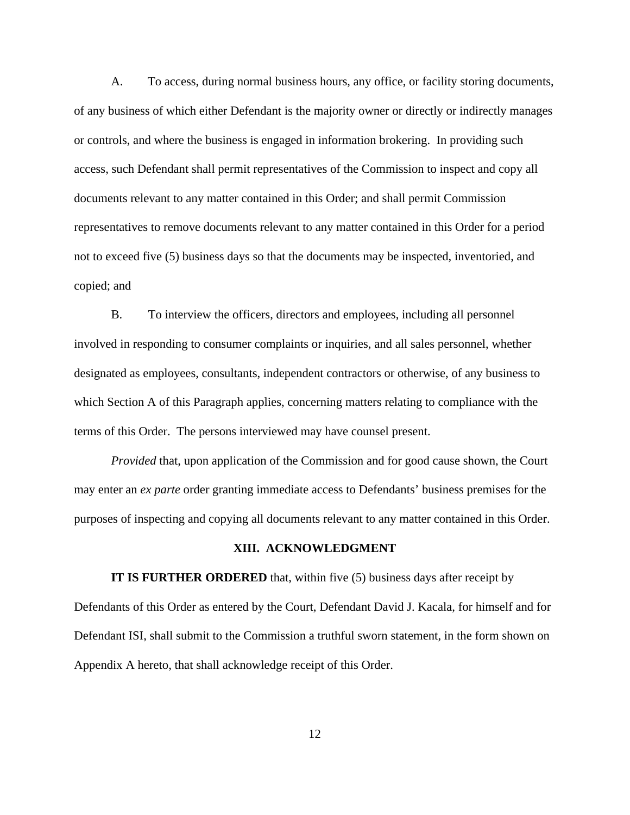A. To access, during normal business hours, any office, or facility storing documents, of any business of which either Defendant is the majority owner or directly or indirectly manages or controls, and where the business is engaged in information brokering. In providing such access, such Defendant shall permit representatives of the Commission to inspect and copy all documents relevant to any matter contained in this Order; and shall permit Commission representatives to remove documents relevant to any matter contained in this Order for a period not to exceed five (5) business days so that the documents may be inspected, inventoried, and copied; and

B. To interview the officers, directors and employees, including all personnel involved in responding to consumer complaints or inquiries, and all sales personnel, whether designated as employees, consultants, independent contractors or otherwise, of any business to which Section A of this Paragraph applies, concerning matters relating to compliance with the terms of this Order. The persons interviewed may have counsel present.

*Provided* that, upon application of the Commission and for good cause shown, the Court may enter an *ex parte* order granting immediate access to Defendants' business premises for the purposes of inspecting and copying all documents relevant to any matter contained in this Order.

## **XIII. ACKNOWLEDGMENT**

**IT IS FURTHER ORDERED** that, within five (5) business days after receipt by Defendants of this Order as entered by the Court, Defendant David J. Kacala, for himself and for Defendant ISI, shall submit to the Commission a truthful sworn statement, in the form shown on Appendix A hereto, that shall acknowledge receipt of this Order.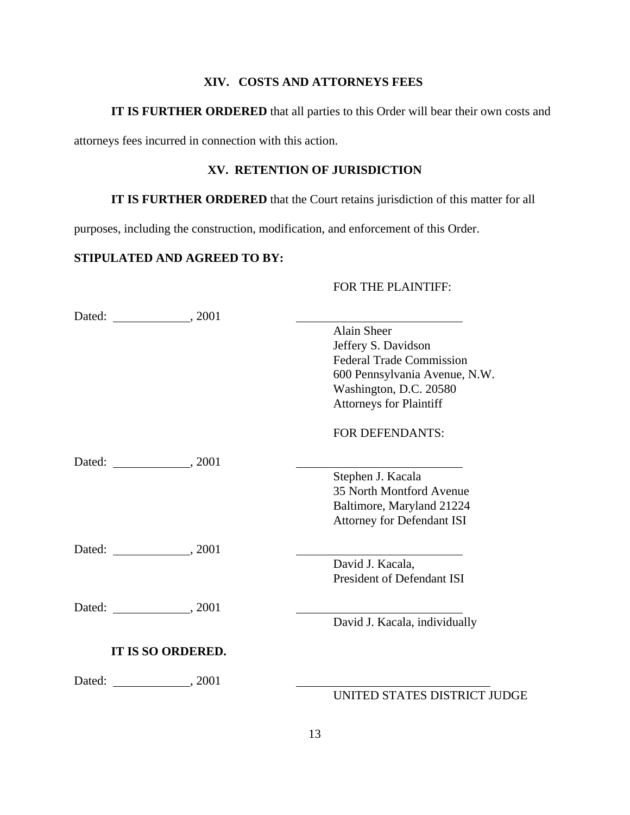# **XIV. COSTS AND ATTORNEYS FEES**

# **IT IS FURTHER ORDERED** that all parties to this Order will bear their own costs and

attorneys fees incurred in connection with this action.

# **XV. RETENTION OF JURISDICTION**

# **IT IS FURTHER ORDERED** that the Court retains jurisdiction of this matter for all

purposes, including the construction, modification, and enforcement of this Order.

# **STIPULATED AND AGREED TO BY:**

## FOR THE PLAINTIFF:

|                          | Alain Sheer                       |
|--------------------------|-----------------------------------|
|                          | Jeffery S. Davidson               |
|                          | <b>Federal Trade Commission</b>   |
|                          | 600 Pennsylvania Avenue, N.W.     |
|                          | Washington, D.C. 20580            |
|                          | <b>Attorneys for Plaintiff</b>    |
|                          | <b>FOR DEFENDANTS:</b>            |
|                          |                                   |
|                          | Stephen J. Kacala                 |
|                          | 35 North Montford Avenue          |
|                          | Baltimore, Maryland 21224         |
|                          | <b>Attorney for Defendant ISI</b> |
|                          |                                   |
|                          | David J. Kacala,                  |
|                          | <b>President of Defendant ISI</b> |
|                          |                                   |
|                          | David J. Kacala, individually     |
| <b>IT IS SO ORDERED.</b> |                                   |
|                          |                                   |
|                          | UNITED STATES DISTRICT JUDGE      |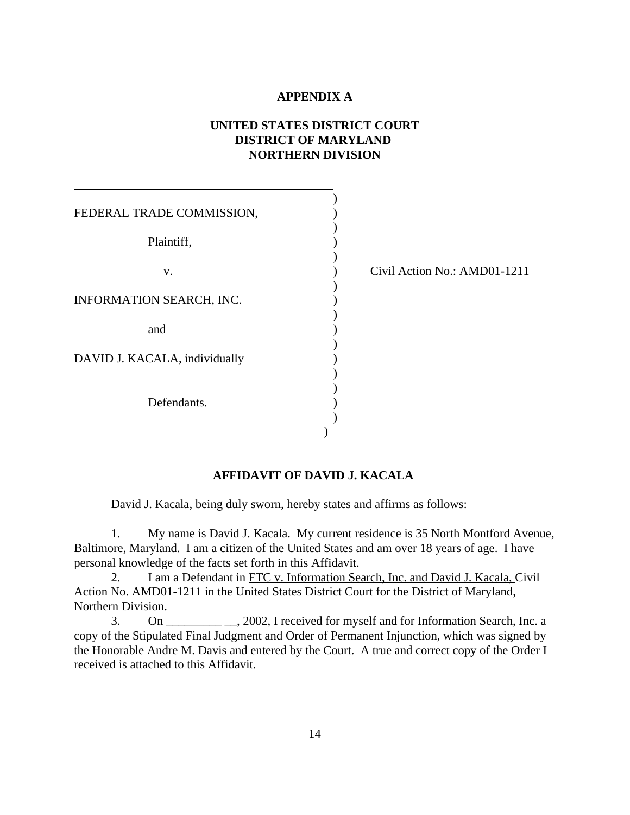## **APPENDIX A**

# **UNITED STATES DISTRICT COURT DISTRICT OF MARYLAND NORTHERN DIVISION**

| FEDERAL TRADE COMMISSION,     |  |
|-------------------------------|--|
|                               |  |
| Plaintiff,                    |  |
|                               |  |
| V.                            |  |
|                               |  |
| INFORMATION SEARCH, INC.      |  |
|                               |  |
| and                           |  |
|                               |  |
| DAVID J. KACALA, individually |  |
|                               |  |
|                               |  |
| Defendants.                   |  |
|                               |  |
|                               |  |

 $\overline{a}$ 

Civil Action No.: AMD01-1211

# **AFFIDAVIT OF DAVID J. KACALA**

David J. Kacala, being duly sworn, hereby states and affirms as follows:

1. My name is David J. Kacala. My current residence is 35 North Montford Avenue, Baltimore, Maryland. I am a citizen of the United States and am over 18 years of age. I have personal knowledge of the facts set forth in this Affidavit.

2. I am a Defendant in FTC v. Information Search, Inc. and David J. Kacala, Civil Action No. AMD01-1211 in the United States District Court for the District of Maryland, Northern Division.

3. On \_\_\_\_\_\_\_\_\_ \_\_, 2002, I received for myself and for Information Search, Inc. a copy of the Stipulated Final Judgment and Order of Permanent Injunction, which was signed by the Honorable Andre M. Davis and entered by the Court. A true and correct copy of the Order I received is attached to this Affidavit.